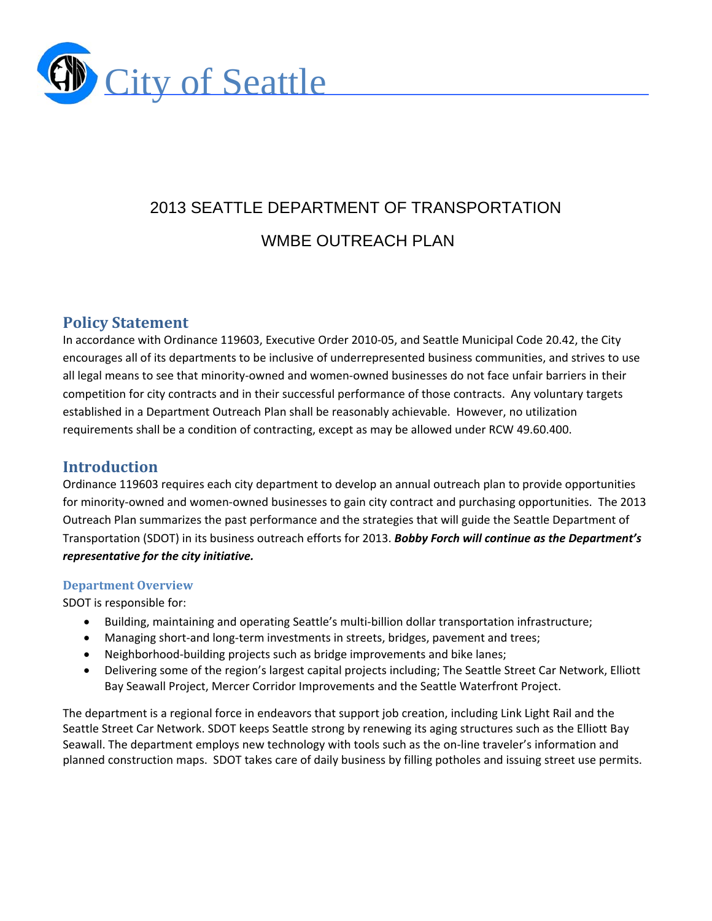

# 2013 SEATTLE DEPARTMENT OF TRANSPORTATION WMBE OUTREACH PLAN

# **Policy Statement**

In accordance with Ordinance 119603, Executive Order 2010‐05, and Seattle Municipal Code 20.42, the City encourages all of its departments to be inclusive of underrepresented business communities, and strives to use all legal means to see that minority-owned and women-owned businesses do not face unfair barriers in their competition for city contracts and in their successful performance of those contracts. Any voluntary targets established in a Department Outreach Plan shall be reasonably achievable. However, no utilization requirements shall be a condition of contracting, except as may be allowed under RCW 49.60.400.

# **Introduction**

Ordinance 119603 requires each city department to develop an annual outreach plan to provide opportunities for minority-owned and women-owned businesses to gain city contract and purchasing opportunities. The 2013 Outreach Plan summarizes the past performance and the strategies that will guide the Seattle Department of Transportation (SDOT) in its business outreach efforts for 2013. *Bobby Forch will continue as the Department's representative for the city initiative.*

#### **Department Overview**

SDOT is responsible for:

- Building, maintaining and operating Seattle's multi-billion dollar transportation infrastructure;
- Managing short-and long-term investments in streets, bridges, pavement and trees;
- Neighborhood-building projects such as bridge improvements and bike lanes;
- Delivering some of the region's largest capital projects including; The Seattle Street Car Network, Elliott Bay Seawall Project, Mercer Corridor Improvements and the Seattle Waterfront Project.

The department is a regional force in endeavors that support job creation, including Link Light Rail and the Seattle Street Car Network. SDOT keeps Seattle strong by renewing its aging structures such as the Elliott Bay Seawall. The department employs new technology with tools such as the on‐line traveler's information and planned construction maps. SDOT takes care of daily business by filling potholes and issuing street use permits.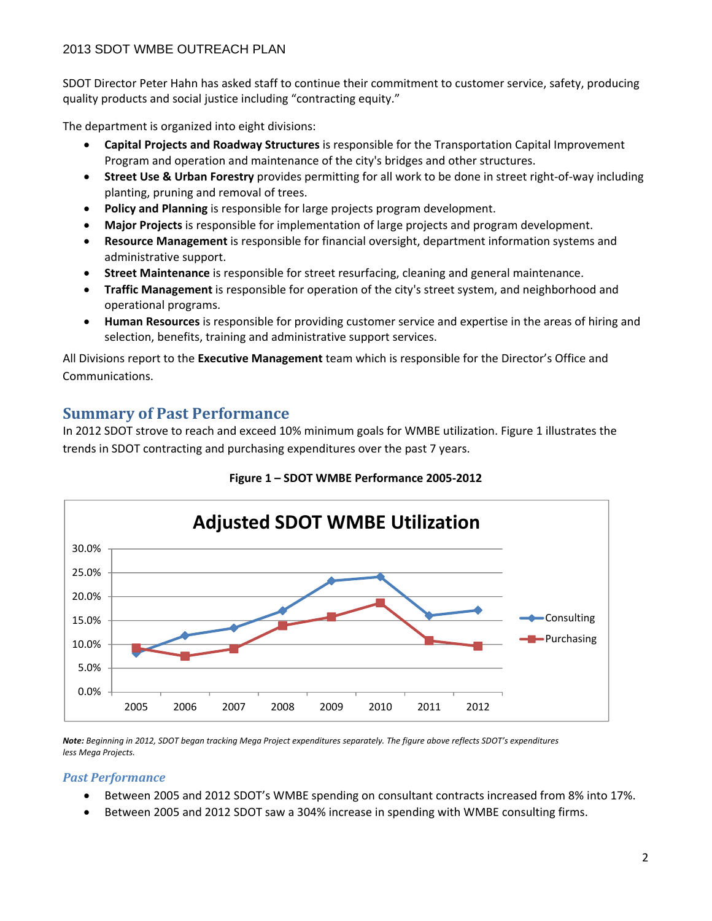SDOT Director Peter Hahn has asked staff to continue their commitment to customer service, safety, producing quality products and social justice including "contracting equity."

The department is organized into eight divisions:

- **Capital Projects and Roadway Structures** is responsible for the Transportation Capital Improvement Program and operation and maintenance of the city's bridges and other structures.
- **Street Use & Urban Forestry** provides permitting for all work to be done in street right‐of‐way including planting, pruning and removal of trees.
- **Policy and Planning** is responsible for large projects program development.
- **Major Projects** is responsible for implementation of large projects and program development.
- **Resource Management** is responsible for financial oversight, department information systems and administrative support.
- **Street Maintenance** is responsible for street resurfacing, cleaning and general maintenance.
- **Traffic Management** is responsible for operation of the city's street system, and neighborhood and operational programs.
- **Human Resources** is responsible for providing customer service and expertise in the areas of hiring and selection, benefits, training and administrative support services.

All Divisions report to the **Executive Management** team which is responsible for the Director's Office and Communications.

# **Summary** of Past Performance

In 2012 SDOT strove to reach and exceed 10% minimum goals for WMBE utilization. Figure 1 illustrates the trends in SDOT contracting and purchasing expenditures over the past 7 years.





Note: Beginning in 2012, SDOT began tracking Mega Project expenditures separately. The figure above reflects SDOT's expenditures *less Mega Projects.* 

#### *Past Performance*

- Between 2005 and 2012 SDOT's WMBE spending on consultant contracts increased from 8% into 17%.
- Between 2005 and 2012 SDOT saw a 304% increase in spending with WMBE consulting firms.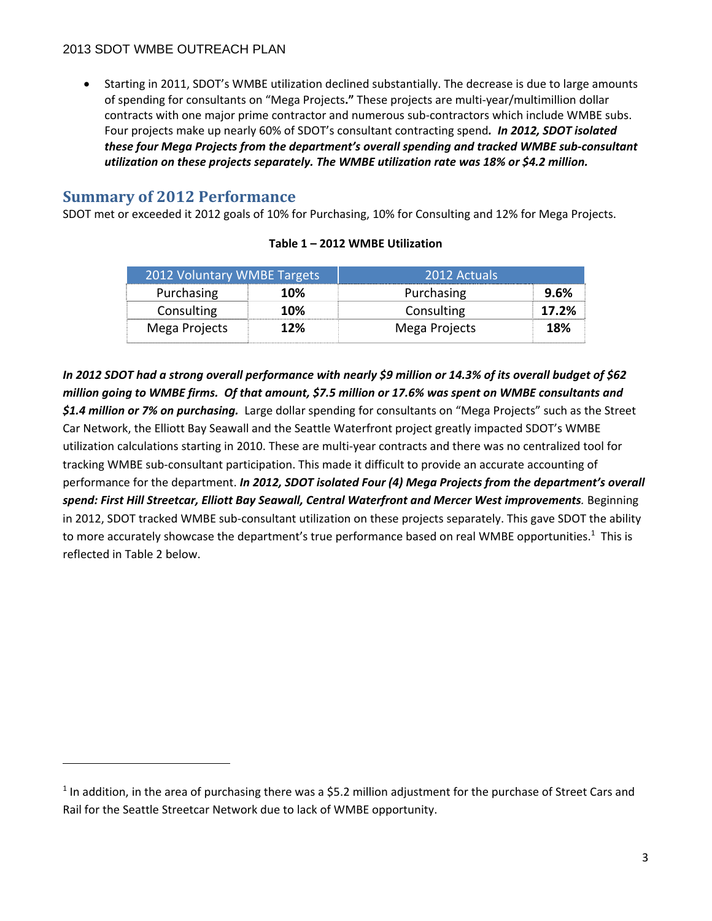Starting in 2011, SDOT's WMBE utilization declined substantially. The decrease is due to large amounts of spending for consultants on "Mega Projects**."** These projects are multi‐year/multimillion dollar contracts with one major prime contractor and numerous sub‐contractors which include WMBE subs. Four projects make up nearly 60% of SDOT's consultant contracting spend*. In 2012, SDOT isolated these four Mega Projects from the department's overall spending and tracked WMBE sub‐consultant utilization on these projects separately. The WMBE utilization rate was 18% or \$4.2 million.* 

# **Summary** of 2012 Performance

SDOT met or exceeded it 2012 goals of 10% for Purchasing, 10% for Consulting and 12% for Mega Projects.

| 2012 Voluntary WMBE Targets |            | 2012 Actuals  |       |
|-----------------------------|------------|---------------|-------|
| Purchasing                  | 10%        | Purchasing    | 9.6%  |
| Consulting                  | <b>10%</b> | Consulting    | 17.2% |
| Mega Projects               | 12%        | Mega Projects | 18%   |

#### **Table 1 – 2012 WMBE Utilization**

In 2012 SDOT had a strong overall performance with nearly \$9 million or 14.3% of its overall budget of \$62 million going to WMBE firms. Of that amount, \$7.5 million or 17.6% was spent on WMBE consultants and *\$1.4 million or 7% on purchasing.* Large dollar spending for consultants on "Mega Projects" such as the Street Car Network, the Elliott Bay Seawall and the Seattle Waterfront project greatly impacted SDOT's WMBE utilization calculations starting in 2010. These are multi‐year contracts and there was no centralized tool for tracking WMBE sub‐consultant participation. This made it difficult to provide an accurate accounting of performance for the department. *In 2012, SDOT isolated Four (4) Mega Projects from the department's overall spend: First Hill Streetcar, Elliott Bay Seawall, Central Waterfront and Mercer West improvements.* Beginning in 2012, SDOT tracked WMBE sub‐consultant utilization on these projects separately. This gave SDOT the ability to more accurately showcase the department's true performance based on real WMBE opportunities.<sup>1</sup> This is reflected in Table 2 below.

<sup>1</sup> In addition, in the area of purchasing there was a \$5.2 million adjustment for the purchase of Street Cars and Rail for the Seattle Streetcar Network due to lack of WMBE opportunity.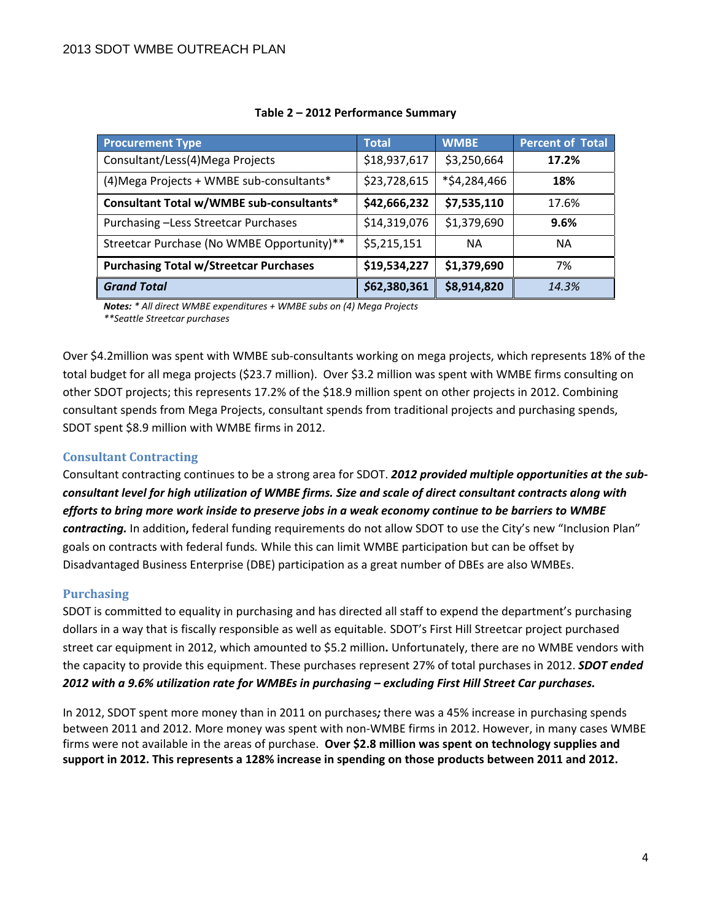| <b>Procurement Type</b>                       | <b>Total</b> | <b>WMBE</b>  | <b>Percent of Total</b> |
|-----------------------------------------------|--------------|--------------|-------------------------|
| Consultant/Less(4)Mega Projects               | \$18,937,617 | \$3,250,664  | 17.2%                   |
| (4) Mega Projects + WMBE sub-consultants*     | \$23,728,615 | *\$4,284,466 | 18%                     |
| Consultant Total w/WMBE sub-consultants*      | \$42,666,232 | \$7,535,110  | 17.6%                   |
| Purchasing -Less Streetcar Purchases          | \$14,319,076 | \$1,379,690  | 9.6%                    |
| Streetcar Purchase (No WMBE Opportunity)**    | \$5,215,151  | <b>NA</b>    | <b>NA</b>               |
| <b>Purchasing Total w/Streetcar Purchases</b> | \$19,534,227 | \$1,379,690  | 7%                      |
| <b>Grand Total</b>                            | \$62,380,361 | \$8,914,820  | 14.3%                   |

#### **Table 2 – 2012 Performance Summary**

*Notes: \* All direct WMBE expenditures + WMBE subs on (4) Mega Projects \*\*Seattle Streetcar purchases*

Over \$4.2million was spent with WMBE sub‐consultants working on mega projects, which represents 18% of the total budget for all mega projects (\$23.7 million). Over \$3.2 million was spent with WMBE firms consulting on other SDOT projects; this represents 17.2% of the \$18.9 million spent on other projects in 2012. Combining consultant spends from Mega Projects, consultant spends from traditional projects and purchasing spends, SDOT spent \$8.9 million with WMBE firms in 2012.

#### **Consultant Contracting**

Consultant contracting continues to be a strong area for SDOT. *2012 provided multiple opportunities at the sub‐* consultant level for high utilization of WMBE firms. Size and scale of direct consultant contracts along with efforts to bring more work inside to preserve jobs in a weak economy continue to be barriers to WMBE *contracting.* In addition**,** federal funding requirements do not allow SDOT to use the City's new "Inclusion Plan" goals on contracts with federal funds*.* While this can limit WMBE participation but can be offset by Disadvantaged Business Enterprise (DBE) participation as a great number of DBEs are also WMBEs.

#### **Purchasing**

SDOT is committed to equality in purchasing and has directed all staff to expend the department's purchasing dollars in a way that is fiscally responsible as well as equitable. SDOT's First Hill Streetcar project purchased street car equipment in 2012, which amounted to \$5.2 million**.** Unfortunately, there are no WMBE vendors with the capacity to provide this equipment. These purchases represent 27% of total purchases in 2012. *SDOT ended 2012 with a 9.6% utilization rate for WMBEs in purchasing – excluding First Hill Street Car purchases.*

In 2012, SDOT spent more money than in 2011 on purchases*;* there was a 45% increase in purchasing spends between 2011 and 2012. More money was spent with non‐WMBE firms in 2012. However, in many cases WMBE firms were not available in the areas of purchase. **Over \$2.8 million was spent on technology supplies and support in 2012. This represents a 128% increase in spending on those products between 2011 and 2012.**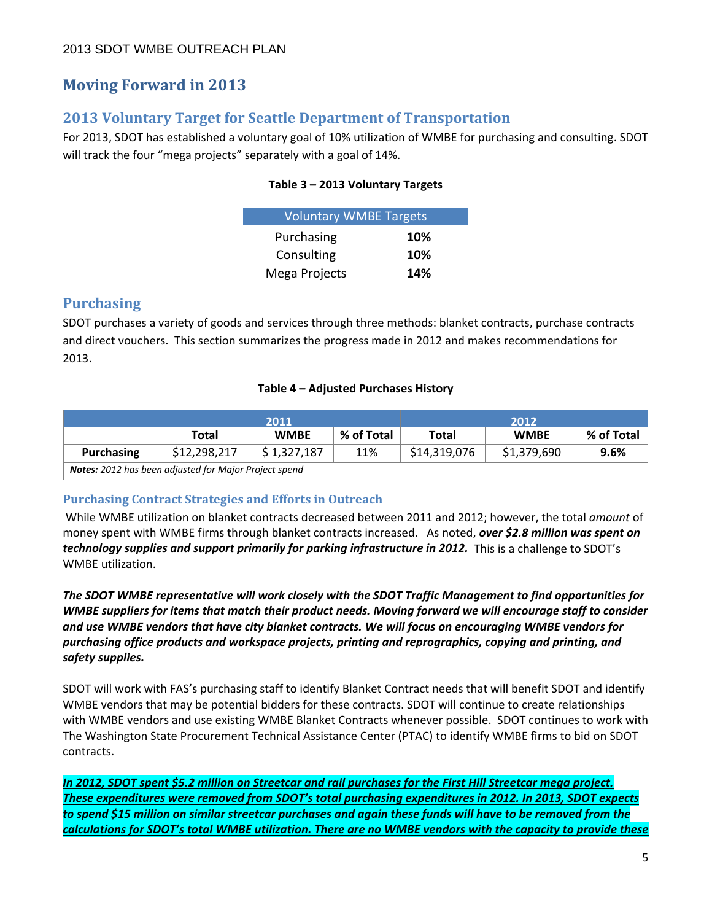# **Moving Forward in 2013**

# **2013 Voluntary Target for Seattle Department of Transportation**

For 2013, SDOT has established a voluntary goal of 10% utilization of WMBE for purchasing and consulting. SDOT will track the four "mega projects" separately with a goal of 14%.

#### **Table 3 – 2013 Voluntary Targets**

| <b>Voluntary WMBE Targets</b> |     |
|-------------------------------|-----|
| Purchasing                    | 10% |
| Consulting                    | 10% |
| Mega Projects                 | 14% |

# **Purchasing**

SDOT purchases a variety of goods and services through three methods: blanket contracts, purchase contracts and direct vouchers. This section summarizes the progress made in 2012 and makes recommendations for 2013.

#### **Table 4 – Adjusted Purchases History**

|                                                              | 2011         |             |            | 2012         |             |            |
|--------------------------------------------------------------|--------------|-------------|------------|--------------|-------------|------------|
|                                                              | Total        | <b>WMBE</b> | % of Total | <b>Total</b> | <b>WMBE</b> | % of Total |
| Purchasing                                                   | \$12,298,217 | \$1,327,187 | 11%        | \$14,319,076 | \$1,379,690 | 9.6%       |
| <b>Notes:</b> 2012 has been adjusted for Major Project spend |              |             |            |              |             |            |

#### **Purchasing Contract Strategies and Efforts in Outreach**

While WMBE utilization on blanket contracts decreased between 2011 and 2012; however, the total *amount* of money spent with WMBE firms through blanket contracts increased. As noted, *over \$2.8 million was spent on technology supplies and support primarily for parking infrastructure in 2012.* This is a challenge to SDOT's WMBE utilization.

*The SDOT WMBE representative will work closely with the SDOT Traffic Management to find opportunities for* WMBE suppliers for items that match their product needs. Moving forward we will encourage staff to consider *and use WMBE vendors that have city blanket contracts. We will focus on encouraging WMBE vendors for purchasing office products and workspace projects, printing and reprographics, copying and printing, and safety supplies.*

SDOT will work with FAS's purchasing staff to identify Blanket Contract needs that will benefit SDOT and identify WMBE vendors that may be potential bidders for these contracts. SDOT will continue to create relationships with WMBE vendors and use existing WMBE Blanket Contracts whenever possible. SDOT continues to work with The Washington State Procurement Technical Assistance Center (PTAC) to identify WMBE firms to bid on SDOT contracts.

In 2012, SDOT spent \$5.2 million on Streetcar and rail purchases for the First Hill Streetcar mega project. *These expenditures were removed from SDOT's total purchasing expenditures in 2012. In 2013, SDOT expects* to spend \$15 million on similar streetcar purchases and again these funds will have to be removed from the calculations for SDOT's total WMBE utilization. There are no WMBE vendors with the capacity to provide these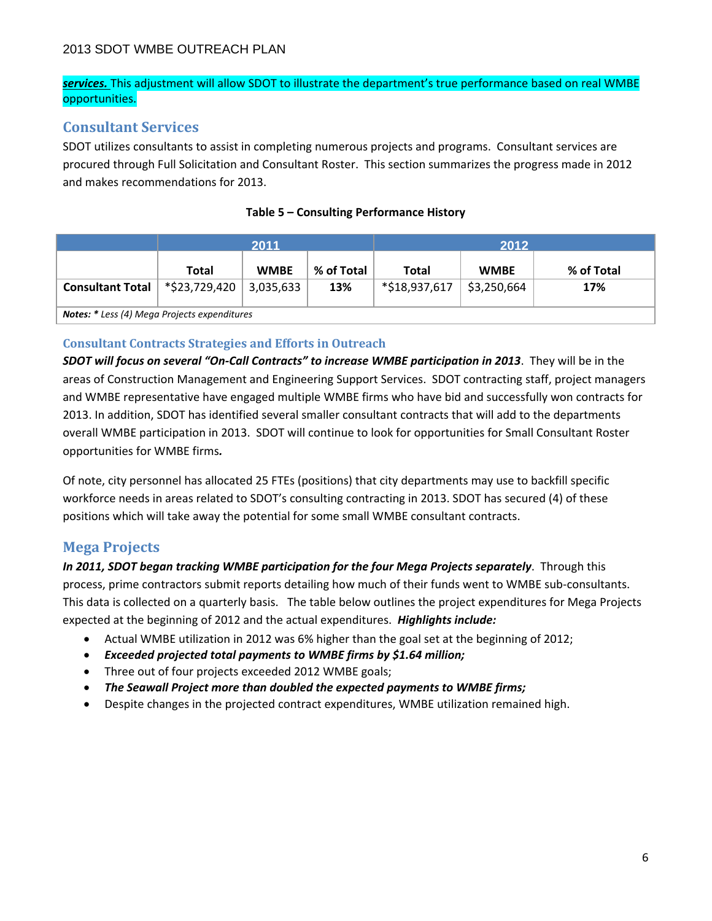*services.* This adjustment will allow SDOT to illustrate the department's true performance based on real WMBE opportunities.

# **Consultant Services**

SDOT utilizes consultants to assist in completing numerous projects and programs. Consultant services are procured through Full Solicitation and Consultant Roster. This section summarizes the progress made in 2012 and makes recommendations for 2013.

|                                                     | 2011          |             |            | 2012          |             |            |
|-----------------------------------------------------|---------------|-------------|------------|---------------|-------------|------------|
|                                                     | Total         | <b>WMBE</b> | % of Total | Total         | <b>WMBE</b> | % of Total |
| <b>Consultant Total</b>                             | *\$23,729,420 | 3,035,633   | 13%        | *\$18,937,617 | \$3,250,664 | 17%        |
| <b>Notes: *</b> Less (4) Mega Projects expenditures |               |             |            |               |             |            |

#### **Table 5 – Consulting Performance History**

#### **Consultant Contracts Strategies and Efforts in Outreach**

*SDOT will focus on several "On‐Call Contracts" to increase WMBE participation in 2013*. They will be in the areas of Construction Management and Engineering Support Services. SDOT contracting staff, project managers and WMBE representative have engaged multiple WMBE firms who have bid and successfully won contracts for 2013. In addition, SDOT has identified several smaller consultant contracts that will add to the departments overall WMBE participation in 2013. SDOT will continue to look for opportunities for Small Consultant Roster opportunities for WMBE firms*.* 

Of note, city personnel has allocated 25 FTEs (positions) that city departments may use to backfill specific workforce needs in areas related to SDOT's consulting contracting in 2013. SDOT has secured (4) of these positions which will take away the potential for some small WMBE consultant contracts.

# **Mega Projects**

*In 2011, SDOT began tracking WMBE participation for the four Mega Projects separately*. Through this process, prime contractors submit reports detailing how much of their funds went to WMBE sub‐consultants. This data is collected on a quarterly basis. The table below outlines the project expenditures for Mega Projects expected at the beginning of 2012 and the actual expenditures. *Highlights include:*

- Actual WMBE utilization in 2012 was 6% higher than the goal set at the beginning of 2012;
- *Exceeded projected total payments to WMBE firms by \$1.64 million;*
- Three out of four projects exceeded 2012 WMBE goals;
- *The Seawall Project more than doubled the expected payments to WMBE firms;*
- Despite changes in the projected contract expenditures, WMBE utilization remained high.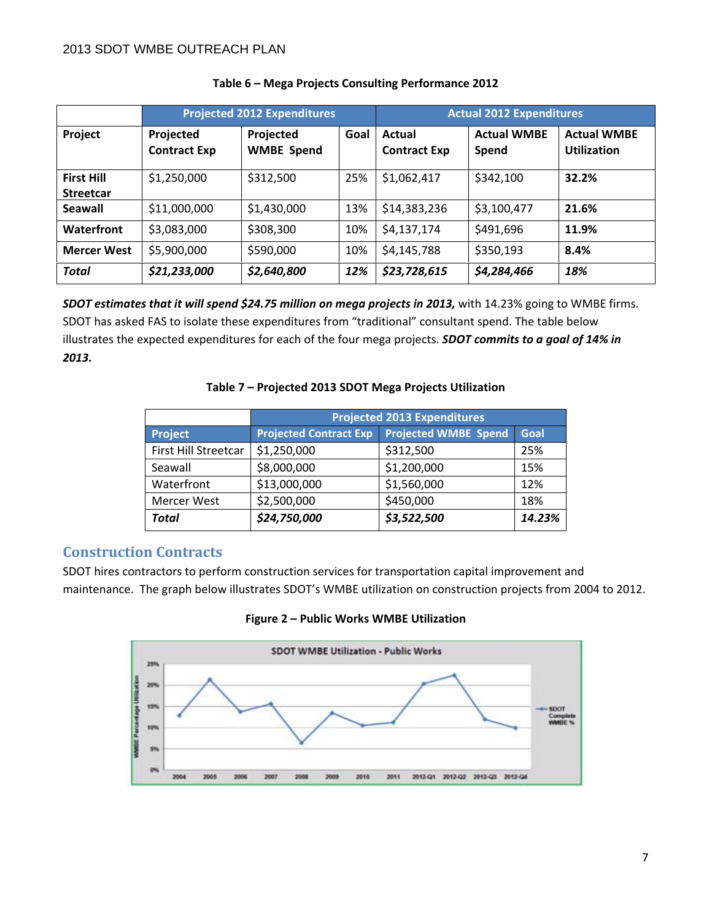|                                       | <b>Projected 2012 Expenditures</b> |                                |      | <b>Actual 2012 Expenditures</b> |                             |                                          |
|---------------------------------------|------------------------------------|--------------------------------|------|---------------------------------|-----------------------------|------------------------------------------|
| Project                               | Projected<br><b>Contract Exp</b>   | Projected<br><b>WMBE Spend</b> | Goal | Actual<br><b>Contract Exp</b>   | <b>Actual WMBE</b><br>Spend | <b>Actual WMBE</b><br><b>Utilization</b> |
| <b>First Hill</b><br><b>Streetcar</b> | \$1,250,000                        | \$312,500                      | 25%  | \$1,062,417                     | \$342,100                   | 32.2%                                    |
| Seawall                               | \$11,000,000                       | \$1,430,000                    | 13%  | \$14,383,236                    | \$3,100,477                 | 21.6%                                    |
| <b>Waterfront</b>                     | \$3,083,000                        | \$308,300                      | 10%  | \$4,137,174                     | \$491,696                   | 11.9%                                    |
| <b>Mercer West</b>                    | \$5,900,000                        | \$590,000                      | 10%  | \$4,145,788                     | \$350,193                   | 8.4%                                     |
| <b>Total</b>                          | \$21,233,000                       | \$2,640,800                    | 12%  | \$23,728,615                    | \$4,284,466                 | 18%                                      |

#### **Table 6 – Mega Projects Consulting Performance 2012**

*SDOT estimates that it will spend \$24.75 million on mega projects in 2013,* with 14.23% going to WMBE firms. SDOT has asked FAS to isolate these expenditures from "traditional" consultant spend. The table below illustrates the expected expenditures for each of the four mega projects. *SDOT commits to a goal of 14% in 2013.*

#### **Table 7 – Projected 2013 SDOT Mega Projects Utilization**

|                      | <b>Projected 2013 Expenditures</b> |                             |        |  |  |  |
|----------------------|------------------------------------|-----------------------------|--------|--|--|--|
| <b>Project</b>       | <b>Projected Contract Exp</b>      | <b>Projected WMBE Spend</b> | Goal   |  |  |  |
| First Hill Streetcar | \$1,250,000                        | \$312,500                   | 25%    |  |  |  |
| Seawall              | \$8,000,000                        | \$1,200,000                 | 15%    |  |  |  |
| Waterfront           | \$13,000,000                       | \$1,560,000                 | 12%    |  |  |  |
| <b>Mercer West</b>   | \$2,500,000                        | \$450,000                   | 18%    |  |  |  |
| <b>Total</b>         | \$24,750,000                       | \$3,522,500                 | 14.23% |  |  |  |

#### **Construction Contracts**

SDOT hires contractors to perform construction services for transportation capital improvement and maintenance. The graph below illustrates SDOT's WMBE utilization on construction projects from 2004 to 2012.

**Figure 2 – Public Works WMBE Utilization**

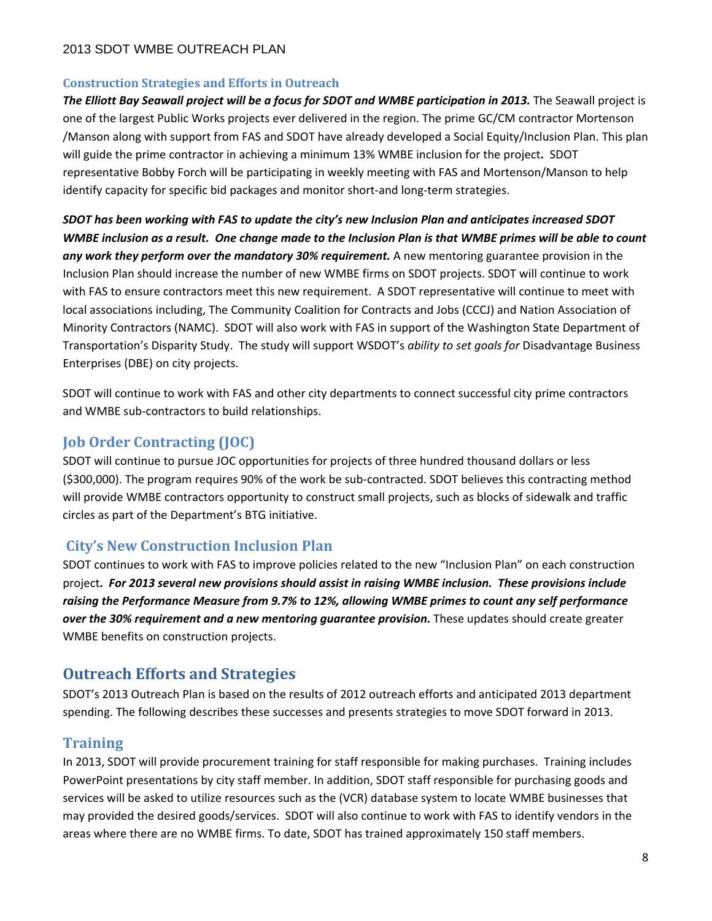#### **Construction Strategies and Efforts in Outreach**

*The Elliott Bay Seawall project will be a focus for SDOT and WMBE participation in 2013.* The Seawall project is one of the largest Public Works projects ever delivered in the region. The prime GC/CM contractor Mortenson /Manson along with support from FAS and SDOT have already developed a Social Equity/Inclusion Plan. This plan will guide the prime contractor in achieving a minimum 13% WMBE inclusion for the project**.** SDOT representative Bobby Forch will be participating in weekly meeting with FAS and Mortenson/Manson to help identify capacity for specific bid packages and monitor short‐and long‐term strategies.

*SDOT has been working with FAS to update the city's new Inclusion Plan and anticipates increased SDOT* WMBE inclusion as a result. One change made to the Inclusion Plan is that WMBE primes will be able to count *any work they perform over the mandatory 30% requirement.* A new mentoring guarantee provision in the Inclusion Plan should increase the number of new WMBE firms on SDOT projects. SDOT will continue to work with FAS to ensure contractors meet this new requirement. A SDOT representative will continue to meet with local associations including, The Community Coalition for Contracts and Jobs (CCCJ) and Nation Association of Minority Contractors (NAMC). SDOT will also work with FAS in support of the Washington State Department of Transportation's Disparity Study. The study will support WSDOT's *ability to set goals for* Disadvantage Business Enterprises (DBE) on city projects.

SDOT will continue to work with FAS and other city departments to connect successful city prime contractors and WMBE sub‐contractors to build relationships.

### **Job Order Contracting (JOC)**

SDOT will continue to pursue JOC opportunities for projects of three hundred thousand dollars or less (\$300,000). The program requires 90% of the work be sub‐contracted. SDOT believes this contracting method will provide WMBE contractors opportunity to construct small projects, such as blocks of sidewalk and traffic circles as part of the Department's BTG initiative.

# **City's New Construction Inclusion Plan**

SDOT continues to work with FAS to improve policies related to the new "Inclusion Plan" on each construction project. For 2013 several new provisions should assist in raising WMBE inclusion. These provisions include *raising the Performance Measure from 9.7% to 12%, allowing WMBE primes to count any self performance over the 30% requirement and a new mentoring guarantee provision.* These updates should create greater WMBE benefits on construction projects.

# **Outreach Efforts and Strategies**

SDOT's 2013 Outreach Plan is based on the results of 2012 outreach efforts and anticipated 2013 department spending. The following describes these successes and presents strategies to move SDOT forward in 2013.

# **Training**

In 2013, SDOT will provide procurement training for staff responsible for making purchases. Training includes PowerPoint presentations by city staff member. In addition, SDOT staff responsible for purchasing goods and services will be asked to utilize resources such as the (VCR) database system to locate WMBE businesses that may provided the desired goods/services. SDOT will also continue to work with FAS to identify vendors in the areas where there are no WMBE firms. To date, SDOT has trained approximately 150 staff members.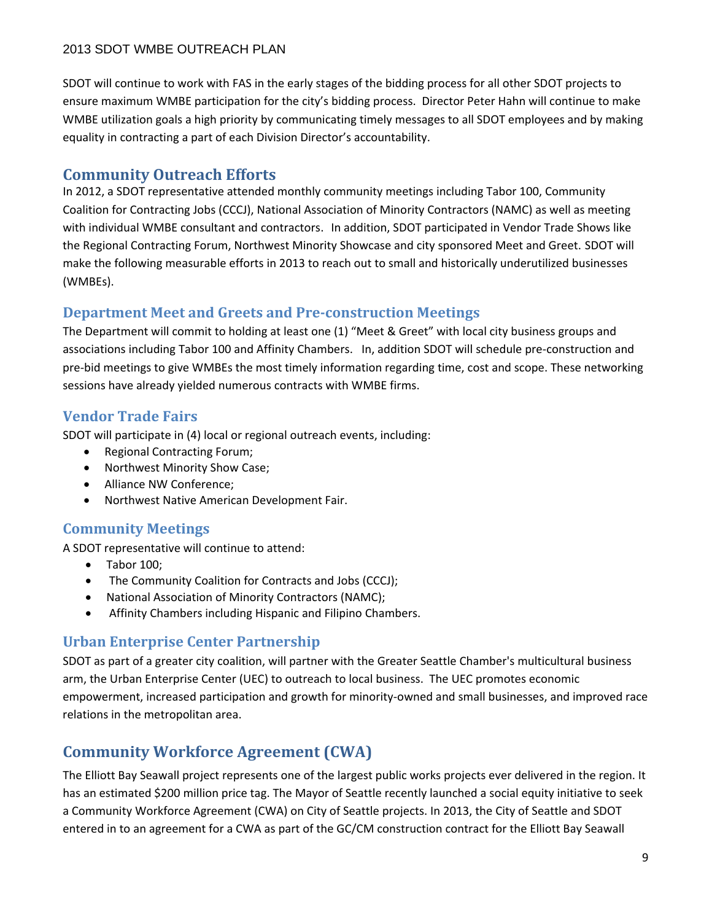SDOT will continue to work with FAS in the early stages of the bidding process for all other SDOT projects to ensure maximum WMBE participation for the city's bidding process. Director Peter Hahn will continue to make WMBE utilization goals a high priority by communicating timely messages to all SDOT employees and by making equality in contracting a part of each Division Director's accountability.

# **Community Outreach Efforts**

In 2012, a SDOT representative attended monthly community meetings including Tabor 100, Community Coalition for Contracting Jobs (CCCJ), National Association of Minority Contractors (NAMC) as well as meeting with individual WMBE consultant and contractors. In addition, SDOT participated in Vendor Trade Shows like the Regional Contracting Forum, Northwest Minority Showcase and city sponsored Meet and Greet. SDOT will make the following measurable efforts in 2013 to reach out to small and historically underutilized businesses (WMBEs).

# **Department Meet and Greets and Pre‐construction Meetings**

The Department will commit to holding at least one (1) "Meet & Greet" with local city business groups and associations including Tabor 100 and Affinity Chambers. In, addition SDOT will schedule pre‐construction and pre‐bid meetings to give WMBEs the most timely information regarding time, cost and scope. These networking sessions have already yielded numerous contracts with WMBE firms.

# **Vendor Trade Fairs**

SDOT will participate in (4) local or regional outreach events, including:

- Regional Contracting Forum;
- Northwest Minority Show Case;
- Alliance NW Conference;
- Northwest Native American Development Fair.

# **Community Meetings**

A SDOT representative will continue to attend:

- Tabor 100:
- The Community Coalition for Contracts and Jobs (CCCJ);
- National Association of Minority Contractors (NAMC);
- Affinity Chambers including Hispanic and Filipino Chambers.

# **Urban Enterprise Center Partnership**

SDOT as part of a greater city coalition, will partner with the Greater Seattle Chamber's multicultural business arm, the Urban Enterprise Center (UEC) to outreach to local business. The UEC promotes economic empowerment, increased participation and growth for minority-owned and small businesses, and improved race relations in the metropolitan area.

# **Community Workforce Agreement (CWA)**

The Elliott Bay Seawall project represents one of the largest public works projects ever delivered in the region. It has an estimated \$200 million price tag. The Mayor of Seattle recently launched a social equity initiative to seek a Community Workforce Agreement (CWA) on City of Seattle projects. In 2013, the City of Seattle and SDOT entered in to an agreement for a CWA as part of the GC/CM construction contract for the Elliott Bay Seawall